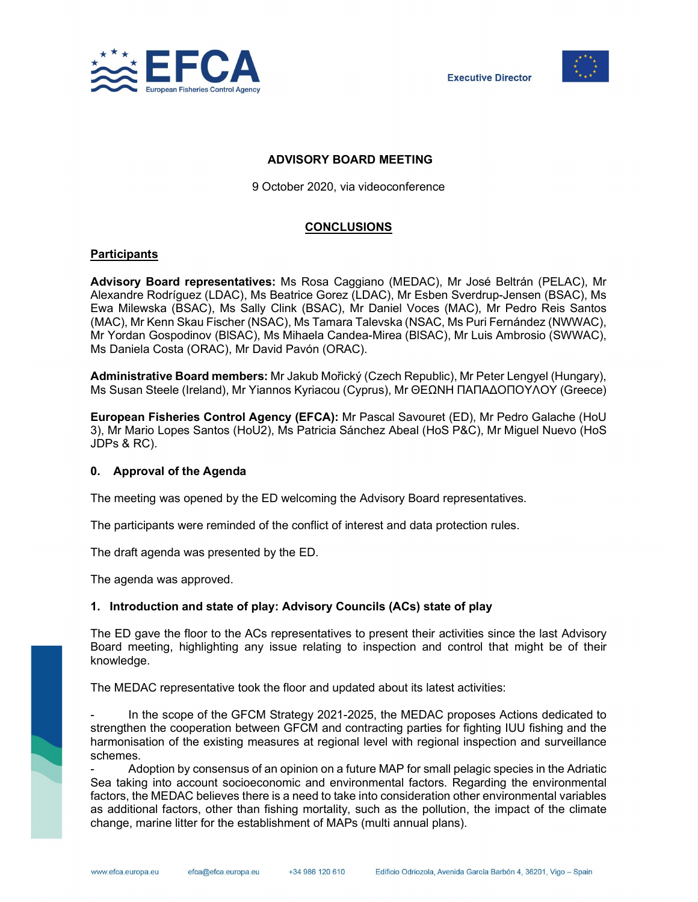



# ADVISORY BOARD MEETING

9 October 2020, via videoconference

# CONCLUSIONS

## **Participants**

Advisory Board representatives: Ms Rosa Caggiano (MEDAC), Mr José Beltrán (PELAC), Mr Alexandre Rodríguez (LDAC), Ms Beatrice Gorez (LDAC), Mr Esben Sverdrup-Jensen (BSAC), Ms Ewa Milewska (BSAC), Ms Sally Clink (BSAC), Mr Daniel Voces (MAC), Mr Pedro Reis Santos (MAC), Mr Kenn Skau Fischer (NSAC), Ms Tamara Talevska (NSAC, Ms Puri Fernández (NWWAC), Mr Yordan Gospodinov (BlSAC), Ms Mihaela Candea-Mirea (BlSAC), Mr Luis Ambrosio (SWWAC), Ms Daniela Costa (ORAC), Mr David Pavón (ORAC).

Administrative Board members: Mr Jakub Mořický (Czech Republic), Mr Peter Lengyel (Hungary), Ms Susan Steele (Ireland), Mr Yiannos Kyriacou (Cyprus), Mr ΘΕΩΝΗ ΠΑΠΑΔΟΠΟΥΛΟΥ (Greece)

European Fisheries Control Agency (EFCA): Mr Pascal Savouret (ED), Mr Pedro Galache (HoU 3), Mr Mario Lopes Santos (HoU2), Ms Patricia Sánchez Abeal (HoS P&C), Mr Miguel Nuevo (HoS JDPs & RC).

### 0. Approval of the Agenda

The meeting was opened by the ED welcoming the Advisory Board representatives.

The participants were reminded of the conflict of interest and data protection rules.

The draft agenda was presented by the ED.

The agenda was approved.

### 1. Introduction and state of play: Advisory Councils (ACs) state of play

The ED gave the floor to the ACs representatives to present their activities since the last Advisory Board meeting, highlighting any issue relating to inspection and control that might be of their knowledge.

The MEDAC representative took the floor and updated about its latest activities:

In the scope of the GFCM Strategy 2021-2025, the MEDAC proposes Actions dedicated to strengthen the cooperation between GFCM and contracting parties for fighting IUU fishing and the harmonisation of the existing measures at regional level with regional inspection and surveillance schemes.

Adoption by consensus of an opinion on a future MAP for small pelagic species in the Adriatic Sea taking into account socioeconomic and environmental factors. Regarding the environmental factors, the MEDAC believes there is a need to take into consideration other environmental variables as additional factors, other than fishing mortality, such as the pollution, the impact of the climate change, marine litter for the establishment of MAPs (multi annual plans).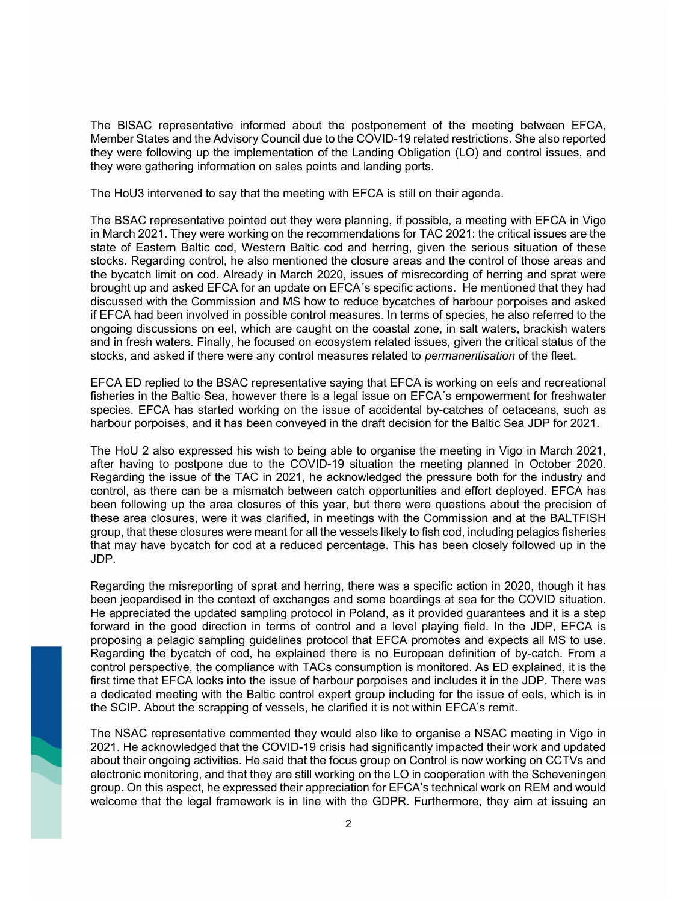The BlSAC representative informed about the postponement of the meeting between EFCA, Member States and the Advisory Council due to the COVID-19 related restrictions. She also reported they were following up the implementation of the Landing Obligation (LO) and control issues, and they were gathering information on sales points and landing ports.

The HoU3 intervened to say that the meeting with EFCA is still on their agenda.

The BSAC representative pointed out they were planning, if possible, a meeting with EFCA in Vigo in March 2021. They were working on the recommendations for TAC 2021: the critical issues are the state of Eastern Baltic cod, Western Baltic cod and herring, given the serious situation of these stocks. Regarding control, he also mentioned the closure areas and the control of those areas and the bycatch limit on cod. Already in March 2020, issues of misrecording of herring and sprat were brought up and asked EFCA for an update on EFCA´s specific actions. He mentioned that they had discussed with the Commission and MS how to reduce bycatches of harbour porpoises and asked if EFCA had been involved in possible control measures. In terms of species, he also referred to the ongoing discussions on eel, which are caught on the coastal zone, in salt waters, brackish waters and in fresh waters. Finally, he focused on ecosystem related issues, given the critical status of the stocks, and asked if there were any control measures related to *permanentisation* of the fleet.

EFCA ED replied to the BSAC representative saying that EFCA is working on eels and recreational fisheries in the Baltic Sea, however there is a legal issue on EFCA´s empowerment for freshwater species. EFCA has started working on the issue of accidental by-catches of cetaceans, such as harbour porpoises, and it has been conveyed in the draft decision for the Baltic Sea JDP for 2021.

The HoU 2 also expressed his wish to being able to organise the meeting in Vigo in March 2021, after having to postpone due to the COVID-19 situation the meeting planned in October 2020. Regarding the issue of the TAC in 2021, he acknowledged the pressure both for the industry and control, as there can be a mismatch between catch opportunities and effort deployed. EFCA has been following up the area closures of this year, but there were questions about the precision of these area closures, were it was clarified, in meetings with the Commission and at the BALTFISH group, that these closures were meant for all the vessels likely to fish cod, including pelagics fisheries that may have bycatch for cod at a reduced percentage. This has been closely followed up in the JDP.

Regarding the misreporting of sprat and herring, there was a specific action in 2020, though it has been jeopardised in the context of exchanges and some boardings at sea for the COVID situation. He appreciated the updated sampling protocol in Poland, as it provided guarantees and it is a step forward in the good direction in terms of control and a level playing field. In the JDP, EFCA is proposing a pelagic sampling guidelines protocol that EFCA promotes and expects all MS to use. Regarding the bycatch of cod, he explained there is no European definition of by-catch. From a control perspective, the compliance with TACs consumption is monitored. As ED explained, it is the first time that EFCA looks into the issue of harbour porpoises and includes it in the JDP. There was a dedicated meeting with the Baltic control expert group including for the issue of eels, which is in the SCIP. About the scrapping of vessels, he clarified it is not within EFCA's remit.

The NSAC representative commented they would also like to organise a NSAC meeting in Vigo in 2021. He acknowledged that the COVID-19 crisis had significantly impacted their work and updated about their ongoing activities. He said that the focus group on Control is now working on CCTVs and electronic monitoring, and that they are still working on the LO in cooperation with the Scheveningen group. On this aspect, he expressed their appreciation for EFCA's technical work on REM and would welcome that the legal framework is in line with the GDPR. Furthermore, they aim at issuing an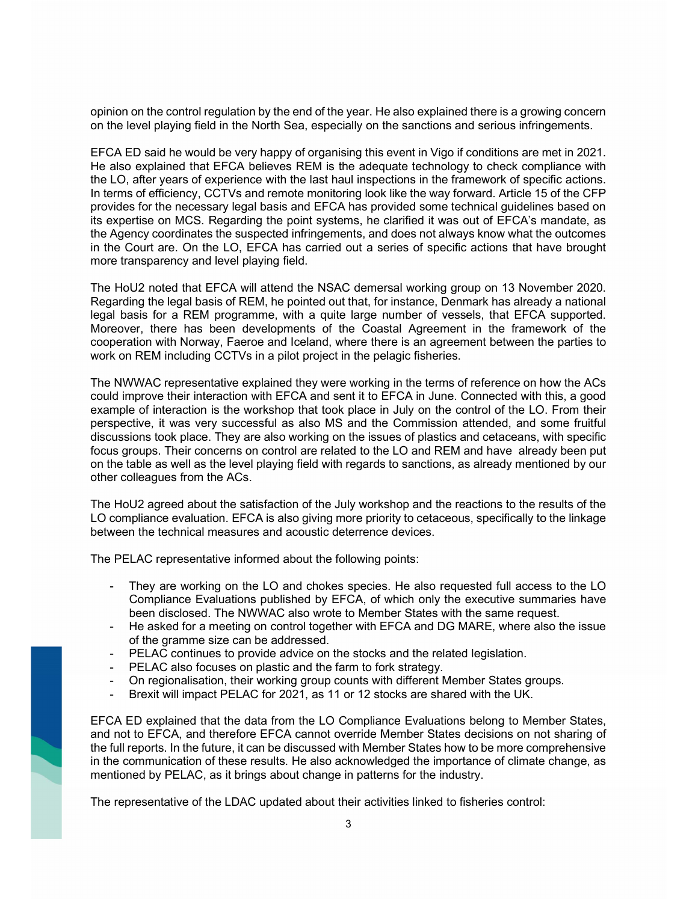opinion on the control regulation by the end of the year. He also explained there is a growing concern on the level playing field in the North Sea, especially on the sanctions and serious infringements.

EFCA ED said he would be very happy of organising this event in Vigo if conditions are met in 2021. He also explained that EFCA believes REM is the adequate technology to check compliance with the LO, after years of experience with the last haul inspections in the framework of specific actions. In terms of efficiency, CCTVs and remote monitoring look like the way forward. Article 15 of the CFP provides for the necessary legal basis and EFCA has provided some technical guidelines based on its expertise on MCS. Regarding the point systems, he clarified it was out of EFCA's mandate, as the Agency coordinates the suspected infringements, and does not always know what the outcomes in the Court are. On the LO, EFCA has carried out a series of specific actions that have brought more transparency and level playing field.

The HoU2 noted that EFCA will attend the NSAC demersal working group on 13 November 2020. Regarding the legal basis of REM, he pointed out that, for instance, Denmark has already a national legal basis for a REM programme, with a quite large number of vessels, that EFCA supported. Moreover, there has been developments of the Coastal Agreement in the framework of the cooperation with Norway, Faeroe and Iceland, where there is an agreement between the parties to work on REM including CCTVs in a pilot project in the pelagic fisheries.

The NWWAC representative explained they were working in the terms of reference on how the ACs could improve their interaction with EFCA and sent it to EFCA in June. Connected with this, a good example of interaction is the workshop that took place in July on the control of the LO. From their perspective, it was very successful as also MS and the Commission attended, and some fruitful discussions took place. They are also working on the issues of plastics and cetaceans, with specific focus groups. Their concerns on control are related to the LO and REM and have already been put on the table as well as the level playing field with regards to sanctions, as already mentioned by our other colleagues from the ACs.

The HoU2 agreed about the satisfaction of the July workshop and the reactions to the results of the LO compliance evaluation. EFCA is also giving more priority to cetaceous, specifically to the linkage between the technical measures and acoustic deterrence devices.

The PELAC representative informed about the following points:

- They are working on the LO and chokes species. He also requested full access to the LO Compliance Evaluations published by EFCA, of which only the executive summaries have been disclosed. The NWWAC also wrote to Member States with the same request.
- He asked for a meeting on control together with EFCA and DG MARE, where also the issue of the gramme size can be addressed.
- PELAC continues to provide advice on the stocks and the related legislation.
- PELAC also focuses on plastic and the farm to fork strategy.

- On regionalisation, their working group counts with different Member States groups.
- Brexit will impact PELAC for 2021, as 11 or 12 stocks are shared with the UK.

EFCA ED explained that the data from the LO Compliance Evaluations belong to Member States, and not to EFCA, and therefore EFCA cannot override Member States decisions on not sharing of the full reports. In the future, it can be discussed with Member States how to be more comprehensive in the communication of these results. He also acknowledged the importance of climate change, as mentioned by PELAC, as it brings about change in patterns for the industry.

The representative of the LDAC updated about their activities linked to fisheries control: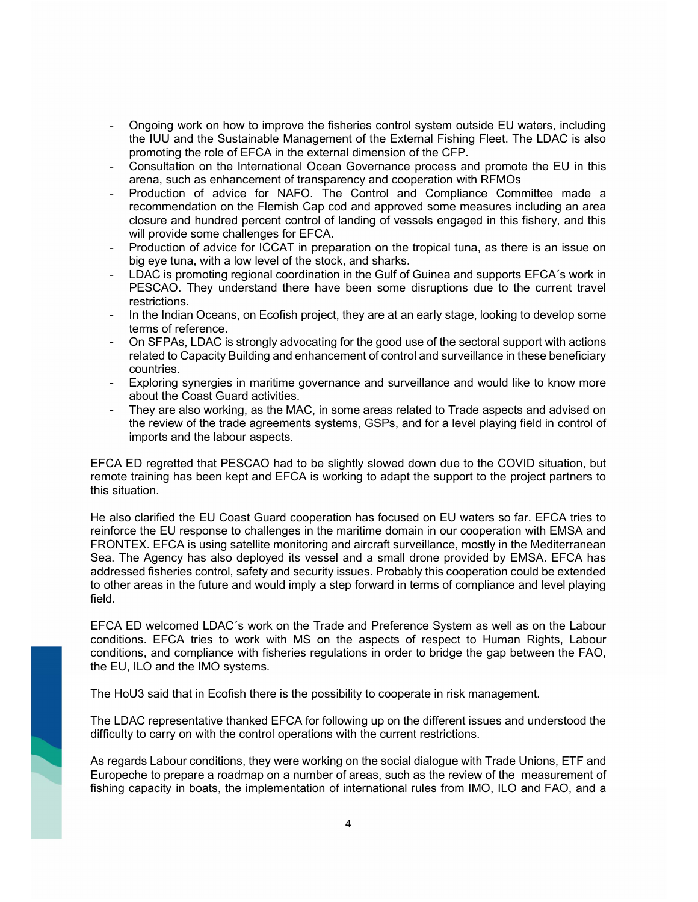- Ongoing work on how to improve the fisheries control system outside EU waters, including the IUU and the Sustainable Management of the External Fishing Fleet. The LDAC is also promoting the role of EFCA in the external dimension of the CFP.
- Consultation on the International Ocean Governance process and promote the EU in this arena, such as enhancement of transparency and cooperation with RFMOs
- Production of advice for NAFO. The Control and Compliance Committee made a recommendation on the Flemish Cap cod and approved some measures including an area closure and hundred percent control of landing of vessels engaged in this fishery, and this will provide some challenges for EFCA.
- Production of advice for ICCAT in preparation on the tropical tuna, as there is an issue on big eye tuna, with a low level of the stock, and sharks.
- LDAC is promoting regional coordination in the Gulf of Guinea and supports EFCA´s work in PESCAO. They understand there have been some disruptions due to the current travel restrictions.
- In the Indian Oceans, on Ecofish project, they are at an early stage, looking to develop some terms of reference.
- On SFPAs, LDAC is strongly advocating for the good use of the sectoral support with actions related to Capacity Building and enhancement of control and surveillance in these beneficiary countries.
- Exploring synergies in maritime governance and surveillance and would like to know more about the Coast Guard activities.
- They are also working, as the MAC, in some areas related to Trade aspects and advised on the review of the trade agreements systems, GSPs, and for a level playing field in control of imports and the labour aspects.

EFCA ED regretted that PESCAO had to be slightly slowed down due to the COVID situation, but remote training has been kept and EFCA is working to adapt the support to the project partners to this situation.

He also clarified the EU Coast Guard cooperation has focused on EU waters so far. EFCA tries to reinforce the EU response to challenges in the maritime domain in our cooperation with EMSA and FRONTEX. EFCA is using satellite monitoring and aircraft surveillance, mostly in the Mediterranean Sea. The Agency has also deployed its vessel and a small drone provided by EMSA. EFCA has addressed fisheries control, safety and security issues. Probably this cooperation could be extended to other areas in the future and would imply a step forward in terms of compliance and level playing field.

EFCA ED welcomed LDAC´s work on the Trade and Preference System as well as on the Labour conditions. EFCA tries to work with MS on the aspects of respect to Human Rights, Labour conditions, and compliance with fisheries regulations in order to bridge the gap between the FAO, the EU, ILO and the IMO systems.

The HoU3 said that in Ecofish there is the possibility to cooperate in risk management.

The LDAC representative thanked EFCA for following up on the different issues and understood the difficulty to carry on with the control operations with the current restrictions.

As regards Labour conditions, they were working on the social dialogue with Trade Unions, ETF and Europeche to prepare a roadmap on a number of areas, such as the review of the measurement of fishing capacity in boats, the implementation of international rules from IMO, ILO and FAO, and a

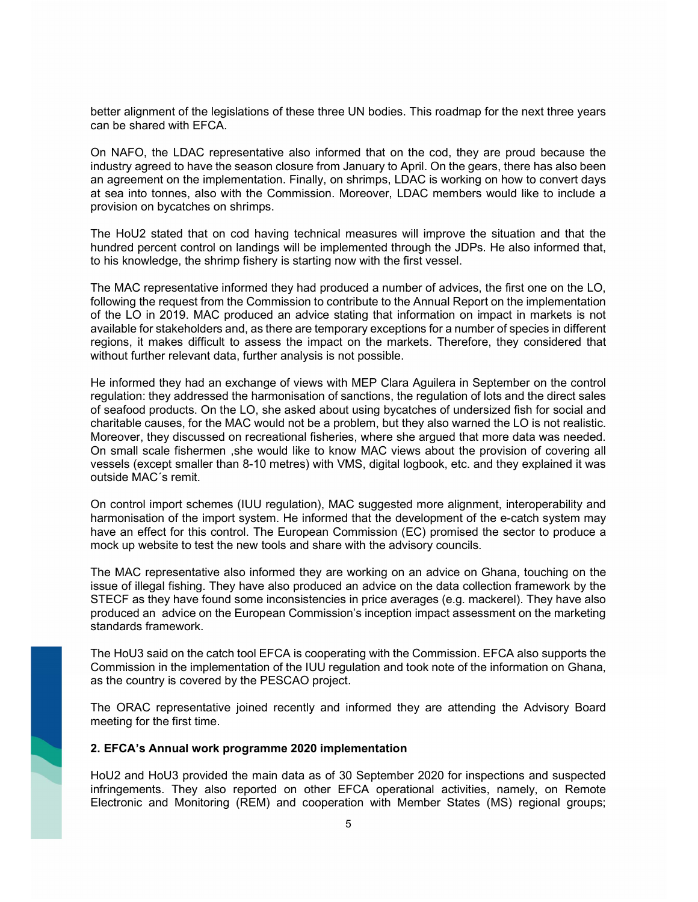better alignment of the legislations of these three UN bodies. This roadmap for the next three years can be shared with EFCA.

On NAFO, the LDAC representative also informed that on the cod, they are proud because the industry agreed to have the season closure from January to April. On the gears, there has also been an agreement on the implementation. Finally, on shrimps, LDAC is working on how to convert days at sea into tonnes, also with the Commission. Moreover, LDAC members would like to include a provision on bycatches on shrimps.

The HoU2 stated that on cod having technical measures will improve the situation and that the hundred percent control on landings will be implemented through the JDPs. He also informed that, to his knowledge, the shrimp fishery is starting now with the first vessel.

The MAC representative informed they had produced a number of advices, the first one on the LO, following the request from the Commission to contribute to the Annual Report on the implementation of the LO in 2019. MAC produced an advice stating that information on impact in markets is not available for stakeholders and, as there are temporary exceptions for a number of species in different regions, it makes difficult to assess the impact on the markets. Therefore, they considered that without further relevant data, further analysis is not possible.

He informed they had an exchange of views with MEP Clara Aguilera in September on the control regulation: they addressed the harmonisation of sanctions, the regulation of lots and the direct sales of seafood products. On the LO, she asked about using bycatches of undersized fish for social and charitable causes, for the MAC would not be a problem, but they also warned the LO is not realistic. Moreover, they discussed on recreational fisheries, where she argued that more data was needed. On small scale fishermen ,she would like to know MAC views about the provision of covering all vessels (except smaller than 8-10 metres) with VMS, digital logbook, etc. and they explained it was outside MAC´s remit.

On control import schemes (IUU regulation), MAC suggested more alignment, interoperability and harmonisation of the import system. He informed that the development of the e-catch system may have an effect for this control. The European Commission (EC) promised the sector to produce a mock up website to test the new tools and share with the advisory councils.

The MAC representative also informed they are working on an advice on Ghana, touching on the issue of illegal fishing. They have also produced an advice on the data collection framework by the STECF as they have found some inconsistencies in price averages (e.g. mackerel). They have also produced an advice on the European Commission's inception impact assessment on the marketing standards framework.

The HoU3 said on the catch tool EFCA is cooperating with the Commission. EFCA also supports the Commission in the implementation of the IUU regulation and took note of the information on Ghana, as the country is covered by the PESCAO project.

The ORAC representative joined recently and informed they are attending the Advisory Board meeting for the first time.

### 2. EFCA's Annual work programme 2020 implementation

HoU2 and HoU3 provided the main data as of 30 September 2020 for inspections and suspected infringements. They also reported on other EFCA operational activities, namely, on Remote Electronic and Monitoring (REM) and cooperation with Member States (MS) regional groups;

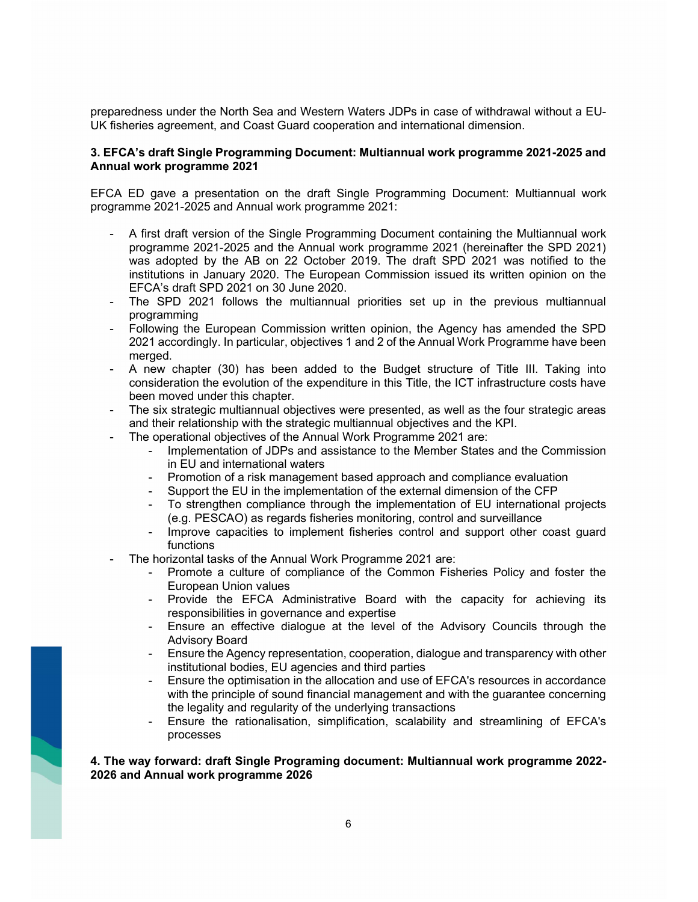preparedness under the North Sea and Western Waters JDPs in case of withdrawal without a EU-UK fisheries agreement, and Coast Guard cooperation and international dimension.

### 3. EFCA's draft Single Programming Document: Multiannual work programme 2021-2025 and Annual work programme 2021

EFCA ED gave a presentation on the draft Single Programming Document: Multiannual work programme 2021-2025 and Annual work programme 2021:

- A first draft version of the Single Programming Document containing the Multiannual work programme 2021-2025 and the Annual work programme 2021 (hereinafter the SPD 2021) was adopted by the AB on 22 October 2019. The draft SPD 2021 was notified to the institutions in January 2020. The European Commission issued its written opinion on the EFCA's draft SPD 2021 on 30 June 2020.
- The SPD 2021 follows the multiannual priorities set up in the previous multiannual programming
- Following the European Commission written opinion, the Agency has amended the SPD 2021 accordingly. In particular, objectives 1 and 2 of the Annual Work Programme have been merged.
- A new chapter (30) has been added to the Budget structure of Title III. Taking into consideration the evolution of the expenditure in this Title, the ICT infrastructure costs have been moved under this chapter.
- The six strategic multiannual objectives were presented, as well as the four strategic areas and their relationship with the strategic multiannual objectives and the KPI.
- The operational objectives of the Annual Work Programme 2021 are:
	- Implementation of JDPs and assistance to the Member States and the Commission in EU and international waters
	- Promotion of a risk management based approach and compliance evaluation
	- Support the EU in the implementation of the external dimension of the CFP
	- To strengthen compliance through the implementation of EU international projects (e.g. PESCAO) as regards fisheries monitoring, control and surveillance
	- Improve capacities to implement fisheries control and support other coast guard functions
- The horizontal tasks of the Annual Work Programme 2021 are:
	- Promote a culture of compliance of the Common Fisheries Policy and foster the European Union values
	- Provide the EFCA Administrative Board with the capacity for achieving its responsibilities in governance and expertise
	- Ensure an effective dialogue at the level of the Advisory Councils through the Advisory Board
	- Ensure the Agency representation, cooperation, dialogue and transparency with other institutional bodies, EU agencies and third parties
	- Ensure the optimisation in the allocation and use of EFCA's resources in accordance with the principle of sound financial management and with the guarantee concerning the legality and regularity of the underlying transactions
	- Ensure the rationalisation, simplification, scalability and streamlining of EFCA's processes

### 4. The way forward: draft Single Programing document: Multiannual work programme 2022- 2026 and Annual work programme 2026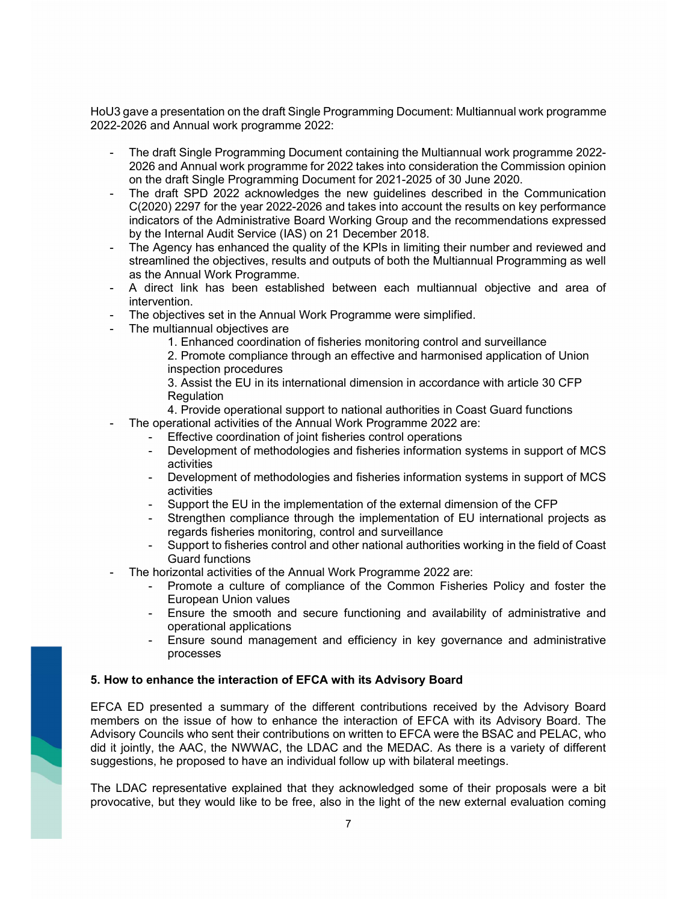HoU3 gave a presentation on the draft Single Programming Document: Multiannual work programme 2022-2026 and Annual work programme 2022:

- The draft Single Programming Document containing the Multiannual work programme 2022- 2026 and Annual work programme for 2022 takes into consideration the Commission opinion on the draft Single Programming Document for 2021-2025 of 30 June 2020.
- The draft SPD 2022 acknowledges the new guidelines described in the Communication C(2020) 2297 for the year 2022-2026 and takes into account the results on key performance indicators of the Administrative Board Working Group and the recommendations expressed by the Internal Audit Service (IAS) on 21 December 2018.
- The Agency has enhanced the quality of the KPIs in limiting their number and reviewed and streamlined the objectives, results and outputs of both the Multiannual Programming as well as the Annual Work Programme.
- A direct link has been established between each multiannual objective and area of intervention.
- The objectives set in the Annual Work Programme were simplified.
- The multiannual objectives are
	- 1. Enhanced coordination of fisheries monitoring control and surveillance

2. Promote compliance through an effective and harmonised application of Union inspection procedures

3. Assist the EU in its international dimension in accordance with article 30 CFP **Regulation** 

4. Provide operational support to national authorities in Coast Guard functions

- The operational activities of the Annual Work Programme 2022 are:
	- Effective coordination of joint fisheries control operations
	- Development of methodologies and fisheries information systems in support of MCS activities
	- Development of methodologies and fisheries information systems in support of MCS activities
	- Support the EU in the implementation of the external dimension of the CFP
	- Strengthen compliance through the implementation of EU international projects as regards fisheries monitoring, control and surveillance
	- Support to fisheries control and other national authorities working in the field of Coast Guard functions
- The horizontal activities of the Annual Work Programme 2022 are:
	- Promote a culture of compliance of the Common Fisheries Policy and foster the European Union values
	- Ensure the smooth and secure functioning and availability of administrative and operational applications
	- Ensure sound management and efficiency in key governance and administrative processes

### 5. How to enhance the interaction of EFCA with its Advisory Board

EFCA ED presented a summary of the different contributions received by the Advisory Board members on the issue of how to enhance the interaction of EFCA with its Advisory Board. The Advisory Councils who sent their contributions on written to EFCA were the BSAC and PELAC, who did it jointly, the AAC, the NWWAC, the LDAC and the MEDAC. As there is a variety of different suggestions, he proposed to have an individual follow up with bilateral meetings.

The LDAC representative explained that they acknowledged some of their proposals were a bit provocative, but they would like to be free, also in the light of the new external evaluation coming